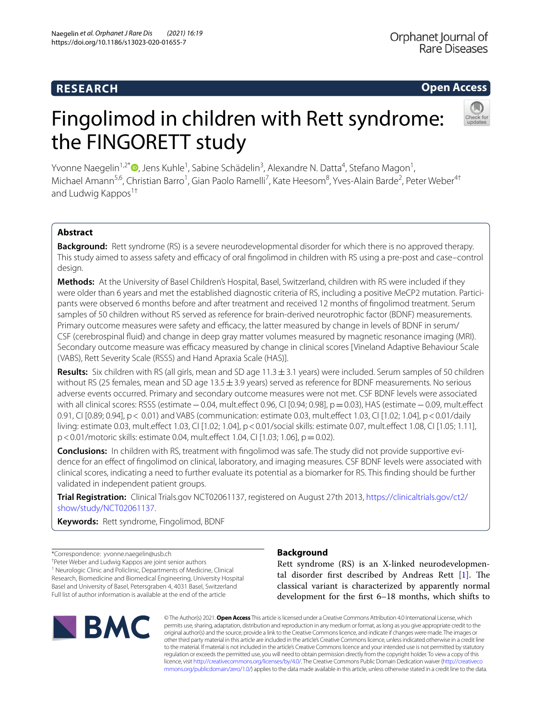# **Open Access**

# Fingolimod in children with Rett syndrome: the FINGORETT study



Yvonne Naegelin<sup>1[,](http://orcid.org/0000-0002-1315-4100)2\*</sup>®, Jens Kuhle<sup>1</sup>, Sabine Schädelin<sup>3</sup>, Alexandre N. Datta<sup>4</sup>, Stefano Magon<sup>1</sup>, Michael Amann<sup>5,6</sup>, Christian Barro<sup>1</sup>, Gian Paolo Ramelli<sup>7</sup>, Kate Heesom<sup>8</sup>, Yves-Alain Barde<sup>2</sup>, Peter Weber<sup>4†</sup> and Ludwig Kappos<sup>1†</sup>

# **Abstract**

**Background:** Rett syndrome (RS) is a severe neurodevelopmental disorder for which there is no approved therapy. This study aimed to assess safety and efficacy of oral fingolimod in children with RS using a pre-post and case–control design.

**Methods:** At the University of Basel Children's Hospital, Basel, Switzerland, children with RS were included if they were older than 6 years and met the established diagnostic criteria of RS, including a positive MeCP2 mutation. Participants were observed 6 months before and after treatment and received 12 months of fngolimod treatment. Serum samples of 50 children without RS served as reference for brain-derived neurotrophic factor (BDNF) measurements. Primary outcome measures were safety and efficacy, the latter measured by change in levels of BDNF in serum/ CSF (cerebrospinal fuid) and change in deep gray matter volumes measured by magnetic resonance imaging (MRI). Secondary outcome measure was efficacy measured by change in clinical scores [Vineland Adaptive Behaviour Scale (VABS), Rett Severity Scale (RSSS) and Hand Apraxia Scale (HAS)].

**Results:** Six children with RS (all girls, mean and SD age 11.3±3.1 years) were included. Serum samples of 50 children without RS (25 females, mean and SD age  $13.5 \pm 3.9$  years) served as reference for BDNF measurements. No serious adverse events occurred. Primary and secondary outcome measures were not met. CSF BDNF levels were associated with all clinical scores: RSSS (estimate−0.04, mult.efect 0.96, CI [0.94; 0.98], p=0.03), HAS (estimate−0.09, mult.efect 0.91, CI [0.89; 0.94], p< 0.01) and VABS (communication: estimate 0.03, mult.efect 1.03, CI [1.02; 1.04], p<0.01/daily living: estimate 0.03, mult.efect 1.03, CI [1.02; 1.04], p<0.01/social skills: estimate 0.07, mult.efect 1.08, CI [1.05; 1.11], p<0.01/motoric skills: estimate 0.04, mult.efect 1.04, CI [1.03; 1.06], p=0.02).

**Conclusions:** In children with RS, treatment with fingolimod was safe. The study did not provide supportive evidence for an efect of fngolimod on clinical, laboratory, and imaging measures. CSF BDNF levels were associated with clinical scores, indicating a need to further evaluate its potential as a biomarker for RS. This fnding should be further validated in independent patient groups.

**Trial Registration:** Clinical Trials.gov NCT02061137, registered on August 27th 2013, [https://clinicaltrials.gov/ct2/](https://clinicaltrials.gov/ct2/show/study/NCT02061137) [show/study/NCT02061137.](https://clinicaltrials.gov/ct2/show/study/NCT02061137)

**Keywords:** Rett syndrome, Fingolimod, BDNF

\*Correspondence: yvonne.naegelin@usb.ch

† Peter Weber and Ludwig Kappos are joint senior authors <sup>1</sup> Neurologic Clinic and Policlinic, Departments of Medicine, Clinical Research, Biomedicine and Biomedical Engineering, University Hospital Basel and University of Basel, Petersgraben 4, 4031 Basel, Switzerland Full list of author information is available at the end of the article



# **Background**

Rett syndrome (RS) is an X-linked neurodevelopmental disorder first described by Andreas Rett  $[1]$  $[1]$ . The classical variant is characterized by apparently normal development for the frst 6–18 months, which shifts to

© The Author(s) 2021. **Open Access** This article is licensed under a Creative Commons Attribution 4.0 International License, which permits use, sharing, adaptation, distribution and reproduction in any medium or format, as long as you give appropriate credit to the original author(s) and the source, provide a link to the Creative Commons licence, and indicate if changes were made. The images or other third party material in this article are included in the article's Creative Commons licence, unless indicated otherwise in a credit line to the material. If material is not included in the article's Creative Commons licence and your intended use is not permitted by statutory regulation or exceeds the permitted use, you will need to obtain permission directly from the copyright holder. To view a copy of this licence, visit [http://creativecommons.org/licenses/by/4.0/.](http://creativecommons.org/licenses/by/4.0/) The Creative Commons Public Domain Dedication waiver ([http://creativeco](http://creativecommons.org/publicdomain/zero/1.0/) [mmons.org/publicdomain/zero/1.0/](http://creativecommons.org/publicdomain/zero/1.0/)) applies to the data made available in this article, unless otherwise stated in a credit line to the data.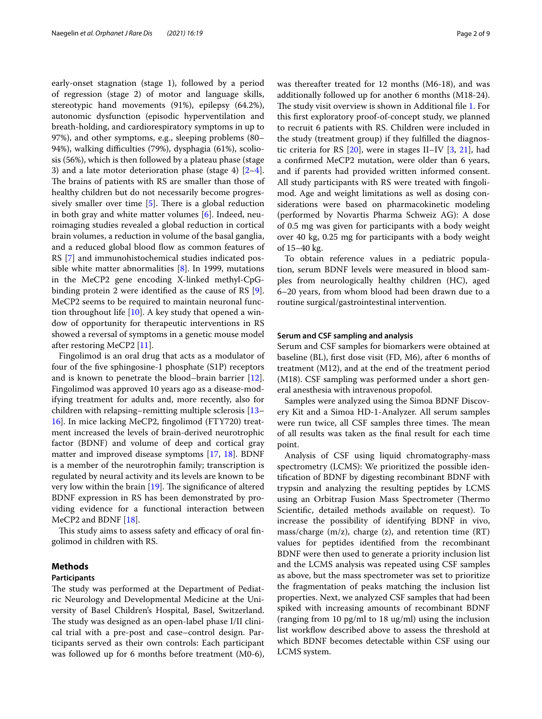early-onset stagnation (stage 1), followed by a period of regression (stage 2) of motor and language skills, stereotypic hand movements (91%), epilepsy (64.2%), autonomic dysfunction (episodic hyperventilation and breath-holding, and cardiorespiratory symptoms in up to 97%), and other symptoms, e.g., sleeping problems (80– 94%), walking difficulties (79%), dysphagia (61%), scoliosis (56%), which is then followed by a plateau phase (stage 3) and a late motor deterioration phase (stage 4)  $[2-4]$  $[2-4]$ . The brains of patients with RS are smaller than those of healthy children but do not necessarily become progressively smaller over time  $[5]$  $[5]$ . There is a global reduction in both gray and white matter volumes [[6](#page-8-4)]. Indeed, neuroimaging studies revealed a global reduction in cortical brain volumes, a reduction in volume of the basal ganglia, and a reduced global blood flow as common features of RS [\[7](#page-8-5)] and immunohistochemical studies indicated possible white matter abnormalities  $[8]$  $[8]$ . In 1999, mutations in the MeCP2 gene encoding X-linked methyl-CpGbinding protein 2 were identifed as the cause of RS [\[9](#page-8-7)]. MeCP2 seems to be required to maintain neuronal function throughout life  $[10]$  $[10]$  $[10]$ . A key study that opened a window of opportunity for therapeutic interventions in RS showed a reversal of symptoms in a genetic mouse model after restoring MeCP2 [[11](#page-8-9)].

Fingolimod is an oral drug that acts as a modulator of four of the fve sphingosine-1 phosphate (S1P) receptors and is known to penetrate the blood–brain barrier [\[12](#page-8-10)]. Fingolimod was approved 10 years ago as a disease-modifying treatment for adults and, more recently, also for children with relapsing–remitting multiple sclerosis [[13–](#page-8-11) [16\]](#page-8-12). In mice lacking MeCP2, fngolimod (FTY720) treatment increased the levels of brain-derived neurotrophic factor (BDNF) and volume of deep and cortical gray matter and improved disease symptoms [\[17](#page-8-13), [18\]](#page-8-14). BDNF is a member of the neurotrophin family; transcription is regulated by neural activity and its levels are known to be very low within the brain  $[19]$  $[19]$  $[19]$ . The significance of altered BDNF expression in RS has been demonstrated by providing evidence for a functional interaction between MeCP2 and BDNF [[18\]](#page-8-14).

This study aims to assess safety and efficacy of oral fingolimod in children with RS.

## **Methods**

#### **Participants**

The study was performed at the Department of Pediatric Neurology and Developmental Medicine at the University of Basel Children's Hospital, Basel, Switzerland. The study was designed as an open-label phase I/II clinical trial with a pre-post and case–control design. Participants served as their own controls: Each participant was followed up for 6 months before treatment (M0-6), was thereafter treated for 12 months (M6-18), and was additionally followed up for another 6 months (M18-24). The study visit overview is shown in Additional file [1](#page-7-0). For this frst exploratory proof-of-concept study, we planned to recruit 6 patients with RS. Children were included in the study (treatment group) if they fulflled the diagnostic criteria for RS [\[20](#page-8-16)], were in stages II–IV [\[3](#page-8-17), [21\]](#page-8-18), had a confrmed MeCP2 mutation, were older than 6 years, and if parents had provided written informed consent. All study participants with RS were treated with fngolimod. Age and weight limitations as well as dosing considerations were based on pharmacokinetic modeling (performed by Novartis Pharma Schweiz AG): A dose of 0.5 mg was given for participants with a body weight over 40 kg, 0.25 mg for participants with a body weight of 15–40 kg.

To obtain reference values in a pediatric population, serum BDNF levels were measured in blood samples from neurologically healthy children (HC), aged 6–20 years, from whom blood had been drawn due to a routine surgical/gastrointestinal intervention.

# **Serum and CSF sampling and analysis**

Serum and CSF samples for biomarkers were obtained at baseline (BL), frst dose visit (FD, M6), after 6 months of treatment (M12), and at the end of the treatment period (M18). CSF sampling was performed under a short general anesthesia with intravenous propofol.

Samples were analyzed using the Simoa BDNF Discovery Kit and a Simoa HD-1-Analyzer. All serum samples were run twice, all CSF samples three times. The mean of all results was taken as the fnal result for each time point.

Analysis of CSF using liquid chromatography-mass spectrometry (LCMS): We prioritized the possible identifcation of BDNF by digesting recombinant BDNF with trypsin and analyzing the resulting peptides by LCMS using an Orbitrap Fusion Mass Spectrometer (Thermo Scientifc, detailed methods available on request). To increase the possibility of identifying BDNF in vivo, mass/charge  $(m/z)$ , charge  $(z)$ , and retention time  $(RT)$ values for peptides identifed from the recombinant BDNF were then used to generate a priority inclusion list and the LCMS analysis was repeated using CSF samples as above, but the mass spectrometer was set to prioritize the fragmentation of peaks matching the inclusion list properties. Next, we analyzed CSF samples that had been spiked with increasing amounts of recombinant BDNF (ranging from 10 pg/ml to 18 ug/ml) using the inclusion list workfow described above to assess the threshold at which BDNF becomes detectable within CSF using our LCMS system.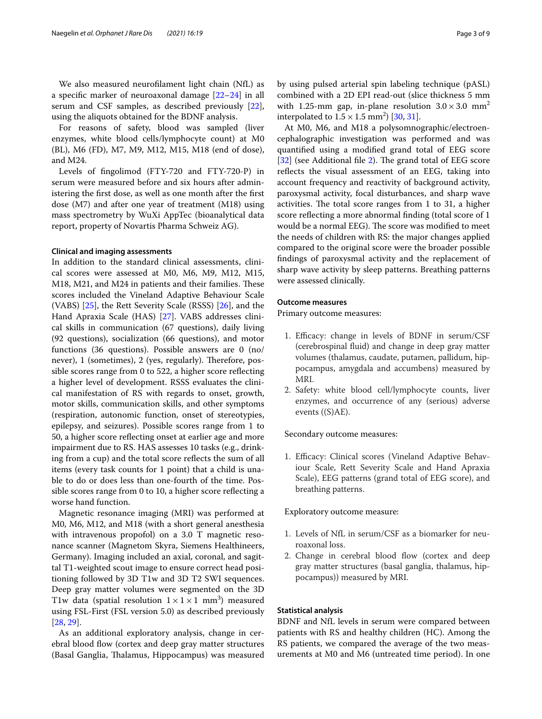We also measured neuroflament light chain (NfL) as a specifc marker of neuroaxonal damage [[22–](#page-8-19)[24](#page-8-20)] in all serum and CSF samples, as described previously [\[22](#page-8-19)], using the aliquots obtained for the BDNF analysis.

For reasons of safety, blood was sampled (liver enzymes, white blood cells/lymphocyte count) at M0 (BL), M6 (FD), M7, M9, M12, M15, M18 (end of dose), and M24.

Levels of fngolimod (FTY-720 and FTY-720-P) in serum were measured before and six hours after administering the frst dose, as well as one month after the frst dose (M7) and after one year of treatment (M18) using mass spectrometry by WuXi AppTec (bioanalytical data report, property of Novartis Pharma Schweiz AG).

## **Clinical and imaging assessments**

In addition to the standard clinical assessments, clinical scores were assessed at M0, M6, M9, M12, M15, M18, M21, and M24 in patients and their families. These scores included the Vineland Adaptive Behaviour Scale (VABS) [[25](#page-8-21)], the Rett Severity Scale (RSSS) [\[26](#page-8-22)], and the Hand Apraxia Scale (HAS) [[27](#page-8-23)]. VABS addresses clinical skills in communication (67 questions), daily living (92 questions), socialization (66 questions), and motor functions (36 questions). Possible answers are 0 (no/ never), 1 (sometimes), 2 (yes, regularly). Therefore, possible scores range from 0 to 522, a higher score refecting a higher level of development. RSSS evaluates the clinical manifestation of RS with regards to onset, growth, motor skills, communication skills, and other symptoms (respiration, autonomic function, onset of stereotypies, epilepsy, and seizures). Possible scores range from 1 to 50, a higher score refecting onset at earlier age and more impairment due to RS. HAS assesses 10 tasks (e.g., drinking from a cup) and the total score refects the sum of all items (every task counts for 1 point) that a child is unable to do or does less than one-fourth of the time. Possible scores range from 0 to 10, a higher score refecting a worse hand function.

Magnetic resonance imaging (MRI) was performed at M0, M6, M12, and M18 (with a short general anesthesia with intravenous propofol) on a 3.0 T magnetic resonance scanner (Magnetom Skyra, Siemens Healthineers, Germany). Imaging included an axial, coronal, and sagittal T1-weighted scout image to ensure correct head positioning followed by 3D T1w and 3D T2 SWI sequences. Deep gray matter volumes were segmented on the 3D T1w data (spatial resolution  $1 \times 1 \times 1$  mm<sup>3</sup>) measured using FSL-First (FSL version 5.0) as described previously [[28,](#page-8-24) [29](#page-8-25)].

As an additional exploratory analysis, change in cerebral blood flow (cortex and deep gray matter structures (Basal Ganglia, Thalamus, Hippocampus) was measured by using pulsed arterial spin labeling technique (pASL) combined with a 2D EPI read-out (slice thickness 5 mm with 1.25-mm gap, in-plane resolution  $3.0 \times 3.0$  mm<sup>2</sup> interpolated to  $1.5 \times 1.5$  mm<sup>2</sup>) [[30,](#page-8-26) [31](#page-8-27)].

At M0, M6, and M18 a polysomnographic/electroencephalographic investigation was performed and was quantifed using a modifed grand total of EEG score [[32\]](#page-8-28) (see Additional file [2\)](#page-7-1). The grand total of EEG score reflects the visual assessment of an EEG, taking into account frequency and reactivity of background activity, paroxysmal activity, focal disturbances, and sharp wave activities. The total score ranges from  $1$  to  $31$ , a higher score refecting a more abnormal fnding (total score of 1 would be a normal EEG). The score was modified to meet the needs of children with RS: the major changes applied compared to the original score were the broader possible fndings of paroxysmal activity and the replacement of sharp wave activity by sleep patterns. Breathing patterns were assessed clinically.

## **Outcome measures**

Primary outcome measures:

- 1. Efficacy: change in levels of BDNF in serum/CSF (cerebrospinal fuid) and change in deep gray matter volumes (thalamus, caudate, putamen, pallidum, hippocampus, amygdala and accumbens) measured by MRI.
- 2. Safety: white blood cell/lymphocyte counts, liver enzymes, and occurrence of any (serious) adverse events ((S)AE).

Secondary outcome measures:

1. Efficacy: Clinical scores (Vineland Adaptive Behaviour Scale, Rett Severity Scale and Hand Apraxia Scale), EEG patterns (grand total of EEG score), and breathing patterns.

Exploratory outcome measure:

- 1. Levels of NfL in serum/CSF as a biomarker for neuroaxonal loss.
- 2. Change in cerebral blood flow (cortex and deep gray matter structures (basal ganglia, thalamus, hippocampus)) measured by MRI.

# **Statistical analysis**

BDNF and NfL levels in serum were compared between patients with RS and healthy children (HC). Among the RS patients, we compared the average of the two measurements at M0 and M6 (untreated time period). In one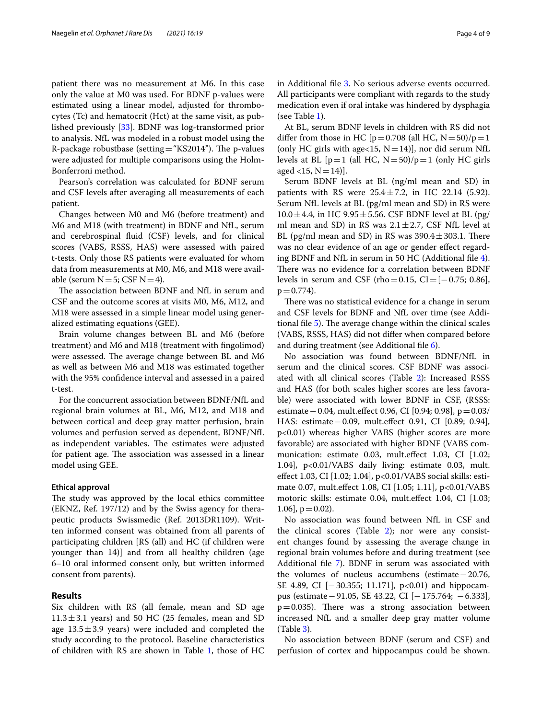patient there was no measurement at M6. In this case only the value at M0 was used. For BDNF p-values were estimated using a linear model, adjusted for thrombocytes (Tc) and hematocrit (Hct) at the same visit, as published previously [\[33\]](#page-8-29). BDNF was log-transformed prior to analysis. NfL was modeled in a robust model using the R-package robustbase (setting="KS2014"). The p-values were adjusted for multiple comparisons using the Holm-Bonferroni method.

Pearson's correlation was calculated for BDNF serum and CSF levels after averaging all measurements of each patient.

Changes between M0 and M6 (before treatment) and M6 and M18 (with treatment) in BDNF and NfL, serum and cerebrospinal fuid (CSF) levels, and for clinical scores (VABS, RSSS, HAS) were assessed with paired t-tests. Only those RS patients were evaluated for whom data from measurements at M0, M6, and M18 were available (serum  $N=5$ ; CSF  $N=4$ ).

The association between BDNF and NfL in serum and CSF and the outcome scores at visits M0, M6, M12, and M18 were assessed in a simple linear model using generalized estimating equations (GEE).

Brain volume changes between BL and M6 (before treatment) and M6 and M18 (treatment with fngolimod) were assessed. The average change between BL and M6 as well as between M6 and M18 was estimated together with the 95% confdence interval and assessed in a paired t-test.

For the concurrent association between BDNF/NfL and regional brain volumes at BL, M6, M12, and M18 and between cortical and deep gray matter perfusion, brain volumes and perfusion served as dependent, BDNF/NfL as independent variables. The estimates were adjusted for patient age. The association was assessed in a linear model using GEE.

# **Ethical approval**

The study was approved by the local ethics committee (EKNZ, Ref. 197/12) and by the Swiss agency for therapeutic products Swissmedic (Ref. 2013DR1109). Written informed consent was obtained from all parents of participating children [RS (all) and HC (if children were younger than 14)] and from all healthy children (age 6–10 oral informed consent only, but written informed consent from parents).

### **Results**

Six children with RS (all female, mean and SD age  $11.3 \pm 3.1$  years) and 50 HC (25 females, mean and SD age  $13.5 \pm 3.9$  years) were included and completed the study according to the protocol. Baseline characteristics of children with RS are shown in Table [1,](#page-4-0) those of HC in Additional fle [3](#page-7-2). No serious adverse events occurred. All participants were compliant with regards to the study medication even if oral intake was hindered by dysphagia (see Table [1\)](#page-4-0).

At BL, serum BDNF levels in children with RS did not differ from those in HC [ $p=0.708$  (all HC,  $N=50$ )/ $p=1$ (only HC girls with age<15,  $N=14$ )], nor did serum NfL levels at BL  $[p=1$  (all HC,  $N=50$ )/ $p=1$  (only HC girls aged <15,  $N=14$ ).

Serum BDNF levels at BL (ng/ml mean and SD) in patients with RS were  $25.4 \pm 7.2$ , in HC 22.14 (5.92). Serum NfL levels at BL (pg/ml mean and SD) in RS were  $10.0 \pm 4.4$ , in HC 9.95 $\pm$ 5.56. CSF BDNF level at BL (pg/ ml mean and SD) in RS was  $2.1 \pm 2.7$ , CSF NfL level at BL (pg/ml mean and SD) in RS was  $390.4 \pm 303.1$ . There was no clear evidence of an age or gender efect regarding BDNF and NfL in serum in 50 HC (Additional fle [4](#page-7-3)). There was no evidence for a correlation between BDNF levels in serum and CSF (rho=0.15, CI= $[-0.75; 0.86]$ ,  $p = 0.774$ .

There was no statistical evidence for a change in serum and CSF levels for BDNF and NfL over time (see Addi-tional file [5](#page-7-4)). The average change within the clinical scales (VABS, RSSS, HAS) did not difer when compared before and during treatment (see Additional fle [6](#page-7-5)).

No association was found between BDNF/NfL in serum and the clinical scores. CSF BDNF was associated with all clinical scores (Table [2\)](#page-5-0): Increased RSSS and HAS (for both scales higher scores are less favorable) were associated with lower BDNF in CSF, (RSSS: estimate−0.04, mult.efect 0.96, CI [0.94; 0.98], p=0.03/ HAS: estimate−0.09, mult.efect 0.91, CI [0.89; 0.94], p<0.01) whereas higher VABS (higher scores are more favorable) are associated with higher BDNF (VABS communication: estimate 0.03, mult.efect 1.03, CI [1.02; 1.04], p<0.01/VABS daily living: estimate 0.03, mult. efect 1.03, CI [1.02; 1.04], p<0.01/VABS social skills: estimate 0.07, mult.efect 1.08, CI [1.05; 1.11], p<0.01/VABS motoric skills: estimate 0.04, mult.efect 1.04, CI [1.03;  $1.06$ ,  $p = 0.02$ ).

No association was found between NfL in CSF and the clinical scores (Table [2](#page-5-0)); nor were any consistent changes found by assessing the average change in regional brain volumes before and during treatment (see Additional fle [7\)](#page-7-6). BDNF in serum was associated with the volumes of nucleus accumbens (estimate−20.76, SE 4.89, CI [−30.355; 11.171], p<0.01) and hippocampus (estimate−91.05, SE 43.22, CI [−175.764; −6.333],  $p=0.035$ ). There was a strong association between increased NfL and a smaller deep gray matter volume (Table [3\)](#page-5-1).

No association between BDNF (serum and CSF) and perfusion of cortex and hippocampus could be shown.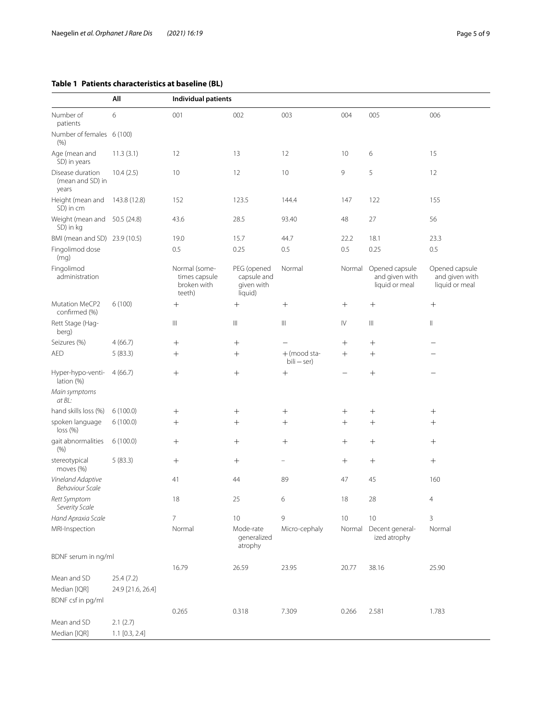# <span id="page-4-0"></span>**Table 1 Patients characteris**

Number of patients

| Number of<br>patients                         | All          | Individual patients                                     |                                                     |        |        |                                                    |                                                    |  |  |
|-----------------------------------------------|--------------|---------------------------------------------------------|-----------------------------------------------------|--------|--------|----------------------------------------------------|----------------------------------------------------|--|--|
|                                               | 6            | 001                                                     | 002                                                 | 003    | 004    | 005                                                | 006                                                |  |  |
| Number of females 6 (100)<br>(% )             |              |                                                         |                                                     |        |        |                                                    |                                                    |  |  |
| Age (mean and<br>SD) in years                 | 11.3(3.1)    | 12                                                      | 13                                                  | 12     | 10     | 6                                                  | 15                                                 |  |  |
| Disease duration<br>(mean and SD) in<br>years | 10.4(2.5)    | 10 <sup>°</sup>                                         | 12                                                  | 10     | 9      | 5                                                  | 12                                                 |  |  |
| Height (mean and<br>SD) in cm                 | 143.8 (12.8) | 152                                                     | 123.5                                               | 144.4  | 147    | 122                                                | 155                                                |  |  |
| Weight (mean and<br>SD) in kg                 | 50.5 (24.8)  | 43.6                                                    | 28.5                                                | 93.40  | 48     | 27                                                 | 56                                                 |  |  |
| BMI (mean and SD) 23.9 (10.5)                 |              | 19.0                                                    | 15.7                                                | 44.7   | 22.2   | 18.1                                               | 23.3                                               |  |  |
| Fingolimod dose<br>(mq)                       |              | 0.5                                                     | 0.25                                                | 0.5    | 0.5    | 0.25                                               | 0.5                                                |  |  |
| Fingolimod<br>administration                  |              | Normal (some-<br>times capsule<br>broken with<br>teeth) | PEG (opened<br>capsule and<br>given with<br>liauid) | Normal | Normal | Opened capsule<br>and given with<br>liquid or meal | Opened capsule<br>and given with<br>liquid or meal |  |  |

| Fingolimod dose<br>(mq)                     |                   | 0.5                                                     | 0.25                                                | 0.5                             | 0.5                    | 0.25                                               | 0.5                                    |
|---------------------------------------------|-------------------|---------------------------------------------------------|-----------------------------------------------------|---------------------------------|------------------------|----------------------------------------------------|----------------------------------------|
| Fingolimod<br>administration                |                   | Normal (some-<br>times capsule<br>broken with<br>teeth) | PEG (opened<br>capsule and<br>given with<br>liquid) | Normal                          | Normal                 | Opened capsule<br>and given with<br>liquid or meal | Opened cap<br>and given<br>liquid or m |
| Mutation MeCP2<br>confirmed (%)             | 6(100)            | $^{+}$                                                  | $+$                                                 | $^{+}$                          | $+$                    | $^{+}$                                             | $+$                                    |
| Rett Stage (Hag-<br>berg)                   |                   | $\mathbb{H}$                                            | $\mathbb{H}$                                        | $\mathop{\rm III}$              | $\mathsf{I}\mathsf{V}$ | $\mathbb{H}$                                       | $\parallel$                            |
| Seizures (%)                                | 4(66.7)           | $+$                                                     |                                                     | $\equiv$                        | $^{+}$                 | $^{+}$                                             | $\overline{\phantom{0}}$               |
| <b>AED</b>                                  | 5(83.3)           | $^{+}$                                                  | $^{+}$                                              | $+$ (mood sta-<br>$bili - ser)$ | $^{+}$                 | $^{+}$                                             |                                        |
| Hyper-hypo-venti-<br>lation (%)             | 4(66.7)           | $^{+}$                                                  | $+$                                                 | $^{+}$                          |                        | $^{+}$                                             |                                        |
| Main symptoms<br>at BL:                     |                   |                                                         |                                                     |                                 |                        |                                                    |                                        |
| hand skills loss (%)                        | 6(100.0)          | $^{+}$                                                  | $^{+}$                                              | $\qquad \qquad +$               | $^{+}$                 | $^{+}$                                             | $^{+}$                                 |
| spoken language<br>loss(%)                  | 6(100.0)          | $^{+}$                                                  | $^{+}$                                              | $^{+}$                          | $^{+}$                 | $^{+}$                                             | $^{+}$                                 |
| gait abnormalities<br>(% )                  | 6(100.0)          | $^{+}$                                                  | $+$                                                 | $^{+}$                          | $+$                    | $+$                                                | $+$                                    |
| stereotypical<br>moves (%)                  | 5(83.3)           | $^{+}$                                                  | $+$                                                 | $\overline{\phantom{0}}$        | $^{+}$                 | $^{+}$                                             | $^{+}$                                 |
| Vineland Adaptive<br><b>Behaviour Scale</b> |                   | 41                                                      | 44                                                  | 89                              | 47                     | 45                                                 | 160                                    |
| Rett Symptom<br>Severity Scale              |                   | 18                                                      | 25                                                  | 6                               | 18                     | 28                                                 | 4                                      |
| Hand Apraxia Scale                          |                   | $\overline{7}$                                          | 10                                                  | 9                               | 10                     | 10                                                 | 3                                      |
| MRI-Inspection                              |                   | Normal                                                  | Mode-rate<br>generalized<br>atrophy                 | Micro-cephaly                   | Normal                 | Decent general-<br>ized atrophy                    | Normal                                 |
| BDNF serum in ng/ml                         |                   |                                                         |                                                     |                                 |                        |                                                    |                                        |
|                                             |                   | 16.79                                                   | 26.59                                               | 23.95                           | 20.77                  | 38.16                                              | 25.90                                  |
| Mean and SD                                 | 25.4(7.2)         |                                                         |                                                     |                                 |                        |                                                    |                                        |
| Median [IQR]                                | 24.9 [21.6, 26.4] |                                                         |                                                     |                                 |                        |                                                    |                                        |
| BDNF csf in pg/ml                           |                   |                                                         |                                                     |                                 |                        |                                                    |                                        |
|                                             |                   | 0.265                                                   | 0.318                                               | 7.309                           | 0.266                  | 2.581                                              | 1.783                                  |
| Mean and SD                                 | 2.1(2.7)          |                                                         |                                                     |                                 |                        |                                                    |                                        |
| Median [IQR]                                | $1.1$ [0.3, 2.4]  |                                                         |                                                     |                                 |                        |                                                    |                                        |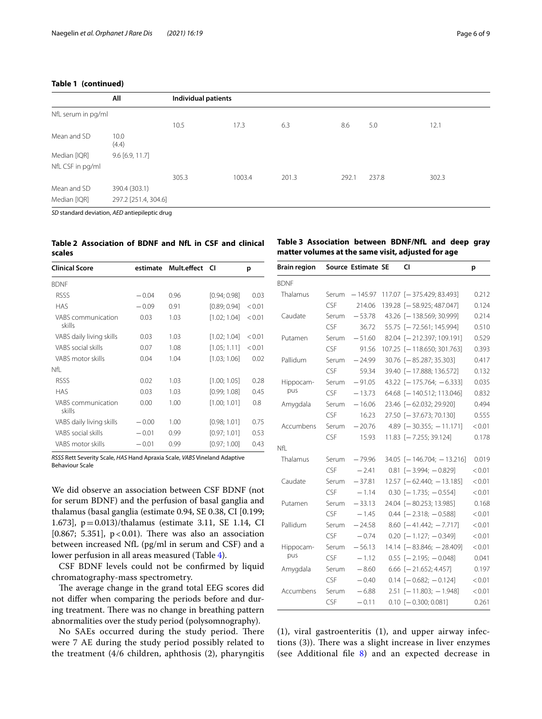# **Table 1 (continued)**

|                    | All                  |       | Individual patients |       |       |       |       |  |  |
|--------------------|----------------------|-------|---------------------|-------|-------|-------|-------|--|--|
| NfL serum in pg/ml |                      |       |                     |       |       |       |       |  |  |
|                    |                      | 10.5  | 17.3                | 6.3   | 8.6   | 5.0   | 12.1  |  |  |
| Mean and SD        | 10.0<br>(4.4)        |       |                     |       |       |       |       |  |  |
| Median [IQR]       | $9.6$ [6.9, 11.7]    |       |                     |       |       |       |       |  |  |
| NfL CSF in pg/ml   |                      |       |                     |       |       |       |       |  |  |
|                    |                      | 305.3 | 1003.4              | 201.3 | 292.1 | 237.8 | 302.3 |  |  |
| Mean and SD        | 390.4 (303.1)        |       |                     |       |       |       |       |  |  |
| Median [IQR]       | 297.2 [251.4, 304.6] |       |                     |       |       |       |       |  |  |
|                    |                      |       |                     |       |       |       |       |  |  |

*SD* standard deviation, *AED* antiepileptic drug

# <span id="page-5-0"></span>**Table 2 Association of BDNF and NfL in CSF and clinical scales**

| <b>Clinical Score</b>        | estimate | Mult.effect CI |              | р      |
|------------------------------|----------|----------------|--------------|--------|
| <b>BDNF</b>                  |          |                |              |        |
| <b>RSSS</b>                  | $-0.04$  | 0.96           | [0.94; 0.98] | 0.03   |
| <b>HAS</b>                   | $-0.09$  | 0.91           | [0.89; 0.94] | < 0.01 |
| VABS communication<br>skills | 0.03     | 1.03           | [1.02; 1.04] | < 0.01 |
| VABS daily living skills     | 0.03     | 1.03           | [1.02; 1.04] | < 0.01 |
| VABS social skills           | 0.07     | 1.08           | [1.05; 1.11] | < 0.01 |
| VABS motor skills            | 0.04     | 1.04           | [1.03; 1.06] | 0.02   |
| Nfl                          |          |                |              |        |
| <b>RSSS</b>                  | 0.02     | 1.03           | [1.00; 1.05] | 0.28   |
| <b>HAS</b>                   | 0.03     | 1.03           | [0.99; 1.08] | 0.45   |
| VABS communication<br>skills | 0.00     | 1.00           | [1.00; 1.01] | 0.8    |
| VABS daily living skills     | $-0.00$  | 1.00           | [0.98; 1.01] | 0.75   |
| VABS social skills           | $-0.01$  | 0.99           | [0.97; 1.01] | 0.53   |
| VABS motor skills            | $-0.01$  | 0.99           | [0.97; 1.00] | 0.43   |

*RSSS* Rett Severity Scale, *HAS* Hand Apraxia Scale, *VABS* Vineland Adaptive Behaviour Scale

We did observe an association between CSF BDNF (not for serum BDNF) and the perfusion of basal ganglia and thalamus (basal ganglia (estimate 0.94, SE 0.38, CI [0.199; 1.673], p=0.013)/thalamus (estimate 3.11, SE 1.14, CI [ $0.867$ ; 5.351],  $p < 0.01$ ). There was also an association between increased NfL (pg/ml in serum and CSF) and a lower perfusion in all areas measured (Table [4](#page-6-0)).

CSF BDNF levels could not be confrmed by liquid chromatography-mass spectrometry.

The average change in the grand total EEG scores did not difer when comparing the periods before and during treatment. There was no change in breathing pattern abnormalities over the study period (polysomnography).

No SAEs occurred during the study period. There were 7 AE during the study period possibly related to the treatment (4/6 children, aphthosis (2), pharyngitis

# <span id="page-5-1"></span>**Table 3 Association between BDNF/NfL and deep gray matter volumes at the same visit, adjusted for age**

| <b>Brain region</b> |       | Source Estimate SE | CI                           | p      |
|---------------------|-------|--------------------|------------------------------|--------|
| <b>BDNF</b>         |       |                    |                              |        |
| Thalamus            | Serum | $-145.97$          | 117.07 [-375.429; 83.493]    | 0.212  |
|                     | CSF   | 214.06             | 139.28 [-58.925; 487.047]    | 0.124  |
| Caudate             | Serum | $-53.78$           | 43.26 [-138.569; 30.999]     | 0.214  |
|                     | CSF   | 36.72              | 55.75 [-72.561; 145.994]     | 0.510  |
| Putamen             | Serum | $-51.60$           | 82.04 [-212.397; 109.191]    | 0.529  |
|                     | CSF   | 91.56              | 107.25 [-118.650; 301.763]   | 0.393  |
| Pallidum            | Serum | $-24.99$           | 30.76 [-85.287; 35.303]      | 0.417  |
|                     | CSF   | 59.34              | 39.40 [-17.888; 136.572]     | 0.132  |
| Hippocam-           | Serum | $-91.05$           | 43.22 $[-175.764; -6.333]$   | 0.035  |
| pus                 | CSF   | $-13.73$           | 64.68 [-140.512; 113.046]    | 0.832  |
| Amygdala            | Serum | $-16.06$           | 23.46 [-62.032; 29.920]      | 0.494  |
|                     | CSF   | 16.23              | 27.50 [-37.673; 70.130]      | 0.555  |
| Accumbens           | Serum | $-20.76$           | $4.89$ [-30.355; -11.171]    | < 0.01 |
|                     | CSF   | 15.93              | 11.83 [-7.255; 39.124]       | 0.178  |
| Nfl                 |       |                    |                              |        |
| Thalamus            | Serum | $-79.96$           | $34.05$ [-146.704; -13.216]  | 0.019  |
|                     | CSF   | $-2.41$            | $0.81$ $[-3.994; -0.829]$    | < 0.01 |
| Caudate             | Serum | $-37.81$           | $12.57$ $[-62.440; -13.185]$ | < 0.01 |
|                     | CSF   | $-1.14$            | $0.30$ [-1.735; -0.554]      | < 0.01 |
| Putamen             | Serum | $-33.13$           | 24.04 [-80.253; 13.985]      | 0.168  |
|                     | CSF   | $-1.45$            | $0.44$ $[-2.318; -0.588]$    | < 0.01 |
| Pallidum            | Serum | $-24.58$           | $8.60$ [-41.442; -7.717]     | < 0.01 |
|                     | CSF   | $-0.74$            | $0.20$ [-1.127; -0.349]      | < 0.01 |
| Hippocam-           | Serum | $-56.13$           | 14.14 [-83.846; -28.409]     | < 0.01 |
| pus                 | CSF   | $-1.12$            | $0.55$ [-2.195; -0.048]      | 0.041  |
| Amygdala            | Serum | $-8.60$            | $6.66$ [-21.652; 4.457]      | 0.197  |
|                     | CSF   | $-0.40$            | $0.14$ [-0.682; -0.124]      | < 0.01 |
| Accumbens           | Serum | $-6.88$            | $2.51$ [-11.803; -1.948]     | < 0.01 |
|                     | CSF   | $-0.11$            | $0.10$ $[-0.300; 0.081]$     | 0.261  |

(1), viral gastroenteritis (1), and upper airway infections  $(3)$ ). There was a slight increase in liver enzymes (see Additional fle [8](#page-7-7)) and an expected decrease in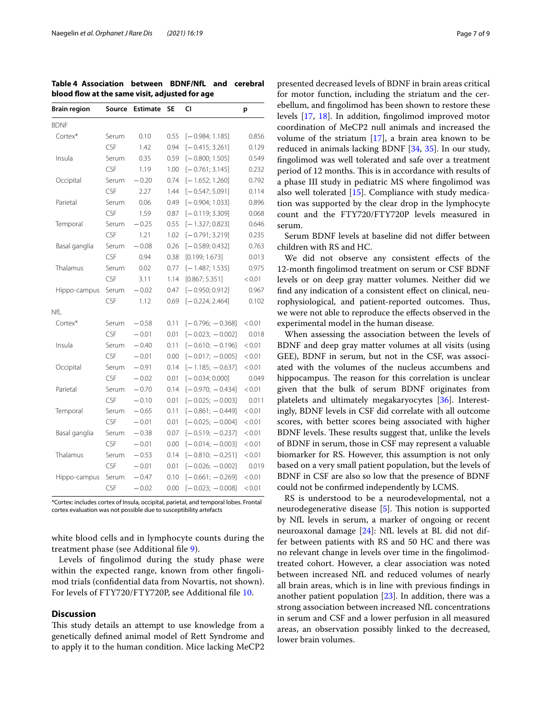<span id="page-6-0"></span>**Table 4 Association between BDNF/NfL and cerebral blood fow at the same visit, adjusted for age**

| <b>Brain region</b> | Source | <b>Estimate</b> | <b>SE</b> | CI                 | p      |  |
|---------------------|--------|-----------------|-----------|--------------------|--------|--|
| <b>BDNF</b>         |        |                 |           |                    |        |  |
| Cortex*             | Serum  | 0.10            | 0.55      | $[-0.984; 1.185]$  | 0.856  |  |
|                     | CSF    | 1.42            | 0.94      | $[-0.415; 3.261]$  | 0.129  |  |
| Insula              | Serum  | 0.35            | 0.59      | $[-0.800; 1.505]$  | 0.549  |  |
|                     | CSF    | 1.19            | 1.00      | $[-0.761; 3.145]$  | 0.232  |  |
| Occipital           | Serum  | $-0.20$         | 0.74      | $[-1.652; 1.260]$  | 0.792  |  |
|                     | CSF    | 2.27            | 1.44      | $[-0.547; 5.091]$  | 0.114  |  |
| Parietal            | Serum  | 0.06            | 0.49      | $[-0.904; 1.033]$  | 0.896  |  |
|                     | CSF    | 1.59            | 0.87      | $[-0.119; 3.309]$  | 0.068  |  |
| Temporal            | Serum  | $-0.25$         | 0.55      | $[-1.327; 0.823]$  | 0.646  |  |
|                     | CSF    | 1.21            | 1.02      | $[-0.791; 3.219]$  | 0.235  |  |
| Basal ganglia       | Serum  | $-0.08$         | 0.26      | $[-0.589; 0.432]$  | 0.763  |  |
|                     | CSF    | 0.94            | 0.38      | [0.199; 1.673]     | 0.013  |  |
| Thalamus            | Serum  | 0.02            | 0.77      | $[-1.487; 1.535]$  | 0.975  |  |
|                     | CSF    | 3.11            | 1.14      | [0.867; 5.351]     | < 0.01 |  |
| Hippo-campus        | Serum  | $-0.02$         | 0.47      | $[-0.950; 0.912]$  | 0.967  |  |
|                     | CSF    | 1.12            | 0.69      | $[-0.224; 2.464]$  | 0.102  |  |
| NfL                 |        |                 |           |                    |        |  |
| Cortex*             | Serum  | $-0.58$         | 0.11      | $[-0.796; -0.368]$ | < 0.01 |  |
|                     | CSF    | $-0.01$         | 0.01      | $[-0.023; -0.002]$ | 0.018  |  |
| Insula              | Serum  | $-0.40$         | 0.11      | $[-0.610; -0.196]$ | < 0.01 |  |
|                     | CSF    | $-0.01$         | 0.00      | $[-0.017; -0.005]$ | < 0.01 |  |
| Occipital           | Serum  | $-0.91$         | 0.14      | $[-1.185; -0.637]$ | < 0.01 |  |
|                     | CSF    | $-0.02$         | 0.01      | $[-0.034; 0.000]$  | 0.049  |  |
| Parietal            | Serum  | $-0.70$         | 0.14      | $[-0.970; -0.434]$ | < 0.01 |  |
|                     | CSF    | $-0.10$         | 0.01      | $[-0.025; -0.003]$ | 0.011  |  |
| Temporal            | Serum  | $-0.65$         | 0.11      | $[-0.861; -0.449]$ | < 0.01 |  |
|                     | CSF    | $-0.01$         | 0.01      | $[-0.025; -0.004]$ | < 0.01 |  |
| Basal ganglia       | Serum  | $-0.38$         | 0.07      | $[-0.519; -0.237]$ | < 0.01 |  |
|                     | CSF    | $-0.01$         | 0.00      | $[-0.014; -0.003]$ | < 0.01 |  |
| Thalamus            | Serum  | $-0.53$         | 0.14      | $[-0.810; -0.251]$ | < 0.01 |  |
|                     | CSF    | $-0.01$         | 0.01      | $[-0.026; -0.002]$ | 0.019  |  |
| Hippo-campus        | Serum  | $-0.47$         | 0.10      | $[-0.661; -0.269]$ | < 0.01 |  |
|                     | CSF    | $-0.02$         | 0.00      | $[-0.023; -0.008]$ | < 0.01 |  |

\*Cortex: includes cortex of Insula, occipital, parietal, and temporal lobes. Frontal cortex evaluation was not possible due to susceptibility artefacts

white blood cells and in lymphocyte counts during the treatment phase (see Additional fle [9](#page-7-8)).

Levels of fngolimod during the study phase were within the expected range, known from other fngolimod trials (confdential data from Novartis, not shown). For levels of FTY720/FTY720P, see Additional fle [10.](#page-7-9)

# **Discussion**

This study details an attempt to use knowledge from a genetically defned animal model of Rett Syndrome and to apply it to the human condition. Mice lacking MeCP2

presented decreased levels of BDNF in brain areas critical for motor function, including the striatum and the cerebellum, and fngolimod has been shown to restore these levels [\[17](#page-8-13), [18\]](#page-8-14). In addition, fngolimod improved motor coordination of MeCP2 null animals and increased the volume of the striatum [\[17\]](#page-8-13), a brain area known to be reduced in animals lacking BDNF [[34,](#page-8-30) [35\]](#page-8-31). In our study, fngolimod was well tolerated and safe over a treatment period of 12 months. This is in accordance with results of a phase III study in pediatric MS where fngolimod was also well tolerated [\[15\]](#page-8-32). Compliance with study medication was supported by the clear drop in the lymphocyte count and the FTY720/FTY720P levels measured in serum.

Serum BDNF levels at baseline did not difer between children with RS and HC.

We did not observe any consistent effects of the 12-month fngolimod treatment on serum or CSF BDNF levels or on deep gray matter volumes. Neither did we fnd any indication of a consistent efect on clinical, neurophysiological, and patient-reported outcomes. Thus, we were not able to reproduce the efects observed in the experimental model in the human disease.

When assessing the association between the levels of BDNF and deep gray matter volumes at all visits (using GEE), BDNF in serum, but not in the CSF, was associated with the volumes of the nucleus accumbens and hippocampus. The reason for this correlation is unclear given that the bulk of serum BDNF originates from platelets and ultimately megakaryocytes [[36](#page-8-33)]. Interestingly, BDNF levels in CSF did correlate with all outcome scores, with better scores being associated with higher BDNF levels. These results suggest that, unlike the levels of BDNF in serum, those in CSF may represent a valuable biomarker for RS. However, this assumption is not only based on a very small patient population, but the levels of BDNF in CSF are also so low that the presence of BDNF could not be confrmed independently by LCMS.

RS is understood to be a neurodevelopmental, not a neurodegenerative disease  $[5]$  $[5]$ . This notion is supported by NfL levels in serum, a marker of ongoing or recent neuroaxonal damage [\[24\]](#page-8-20): NfL levels at BL did not differ between patients with RS and 50 HC and there was no relevant change in levels over time in the fngolimodtreated cohort. However, a clear association was noted between increased NfL and reduced volumes of nearly all brain areas, which is in line with previous fndings in another patient population [\[23\]](#page-8-34). In addition, there was a strong association between increased NfL concentrations in serum and CSF and a lower perfusion in all measured areas, an observation possibly linked to the decreased, lower brain volumes.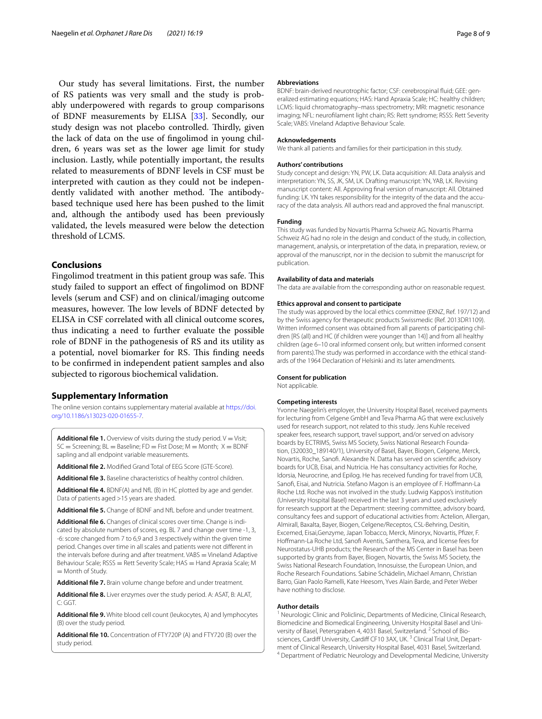Our study has several limitations. First, the number of RS patients was very small and the study is probably underpowered with regards to group comparisons of BDNF measurements by ELISA [\[33\]](#page-8-29). Secondly, our study design was not placebo controlled. Thirdly, given the lack of data on the use of fngolimod in young children, 6 years was set as the lower age limit for study inclusion. Lastly, while potentially important, the results related to measurements of BDNF levels in CSF must be interpreted with caution as they could not be independently validated with another method. The antibodybased technique used here has been pushed to the limit and, although the antibody used has been previously validated, the levels measured were below the detection threshold of LCMS.

## **Conclusions**

Fingolimod treatment in this patient group was safe. This study failed to support an efect of fngolimod on BDNF levels (serum and CSF) and on clinical/imaging outcome measures, however. The low levels of BDNF detected by ELISA in CSF correlated with all clinical outcome scores, thus indicating a need to further evaluate the possible role of BDNF in the pathogenesis of RS and its utility as a potential, novel biomarker for RS. This finding needs to be confrmed in independent patient samples and also subjected to rigorous biochemical validation.

# **Supplementary Information**

The online version contains supplementary material available at [https://doi.](https://doi.org/10.1186/s13023-020-01655-7) [org/10.1186/s13023-020-01655-7](https://doi.org/10.1186/s13023-020-01655-7).

<span id="page-7-0"></span>**Additional file 1.** Overview of visits during the study period.  $V = V$ isit;  $SC =$  Screening;  $BL =$  Baseline;  $FD =$  Fist Dose;  $M =$  Month;  $X =$  BDNF sapling and all endpoint variable measurements.

<span id="page-7-2"></span><span id="page-7-1"></span>**Additional fle 2.** Modifed Grand Total of EEG Score (GTE-Score).

<span id="page-7-3"></span>**Additional fle 3.** Baseline characteristics of healthy control children.

<span id="page-7-4"></span>**Additional fle 4.** BDNF(A) and NfL (B) in HC plotted by age and gender. Data of patients aged >15 years are shaded.

<span id="page-7-5"></span>**Additional fle 5.** Change of BDNF and NfL before and under treatment.

Additional file 6. Changes of clinical scores over time. Change is indicated by absolute numbers of scores, eg. BL 7 and change over time -1, 3, -6: score changed from 7 to 6,9 and 3 respectively within the given time period. Changes over time in all scales and patients were not diferent in the intervals before during and after treatment. VABS = Vineland Adaptive Behaviour Scale; RSSS = Rett Severity Scale; HAS = Hand Apraxia Scale; M  $=$  Month of Study.

<span id="page-7-7"></span><span id="page-7-6"></span>**Additional fle 7.** Brain volume change before and under treatment.

<span id="page-7-8"></span>**Additional fle 8.** Liver enzymes over the study period. A: ASAT, B: ALAT, C: GGT.

<span id="page-7-9"></span>**Additional fle 9.** White blood cell count (leukocytes, A) and lymphocytes (B) over the study period.

**Additional fle 10.** Concentration of FTY720P (A) and FTY720 (B) over the study period.

#### **Abbreviations**

BDNF: brain-derived neurotrophic factor; CSF: cerebrospinal fluid; GEE: generalized estimating equations; HAS: Hand Apraxia Scale; HC: healthy children; LCMS: liquid chromatography–mass spectrometry; MRI: magnetic resonance imaging; NFL: neuroflament light chain; RS: Rett syndrome; RSSS: Rett Severity Scale; VABS: Vineland Adaptive Behaviour Scale.

#### **Acknowledgements**

We thank all patients and families for their participation in this study.

#### **Authors' contributions**

Study concept and design: YN, PW, LK. Data acquisition: All. Data analysis and interpretation: YN, SS, JK, SM, LK. Drafting manuscript: YN, YAB, LK. Revising manuscript content: All. Approving fnal version of manuscript: All. Obtained funding: LK. YN takes responsibility for the integrity of the data and the accuracy of the data analysis. All authors read and approved the fnal manuscript.

#### **Funding**

This study was funded by Novartis Pharma Schweiz AG. Novartis Pharma Schweiz AG had no role in the design and conduct of the study, in collection, management, analysis, or interpretation of the data, in preparation, review, or approval of the manuscript, nor in the decision to submit the manuscript for publication.

#### **Availability of data and materials**

The data are available from the corresponding author on reasonable request.

#### **Ethics approval and consent to participate**

The study was approved by the local ethics committee (EKNZ, Ref. 197/12) and by the Swiss agency for therapeutic products Swissmedic (Ref. 2013DR1109). Written informed consent was obtained from all parents of participating children [RS (all) and HC (if children were younger than 14)] and from all healthy children (age 6–10 oral informed consent only, but written informed consent from parents). The study was performed in accordance with the ethical standards of the 1964 Declaration of Helsinki and its later amendments.

#### **Consent for publication**

Not applicable.

#### **Competing interests**

Yvonne Naegelin's employer, the University Hospital Basel, received payments for lecturing from Celgene GmbH and Teva Pharma AG that were exclusively used for research support, not related to this study. Jens Kuhle received speaker fees, research support, travel support, and/or served on advisory boards by ECTRIMS, Swiss MS Society, Swiss National Research Foundation, (320030\_189140/1), University of Basel, Bayer, Biogen, Celgene, Merck, Novartis, Roche, Sanof. Alexandre N. Datta has served on scientifc advisory boards for UCB, Eisai, and Nutricia. He has consultancy activities for Roche, Idorsia, Neurocrine, and Epilog. He has received funding for travel from UCB, Sanof, Eisai, and Nutricia. Stefano Magon is an employee of F. Hofmann-La Roche Ltd. Roche was not involved in the study. Ludwig Kappos's institution (University Hospital Basel) received in the last 3 years and used exclusively for research support at the Department: steering committee, advisory board, consultancy fees and support of educational activities from: Actelion, Allergan, Almirall, Baxalta, Bayer, Biogen, Celgene/Receptos, CSL-Behring, Desitin, Excemed, Eisai,Genzyme, Japan Tobacco, Merck, Minoryx, Novartis, Pfzer, F. Hofmann-La Roche Ltd, Sanof Aventis, Santhera, Teva, and license fees for Neurostatus-UHB products; the Research of the MS Center in Basel has been supported by grants from Bayer, Biogen, Novartis, the Swiss MS Society, the Swiss National Research Foundation, Innosuisse, the European Union, and Roche Research Foundations. Sabine Schädelin, Michael Amann, Christian Barro, Gian Paolo Ramelli, Kate Heesom, Yves Alain Barde, and Peter Weber have nothing to disclose.

#### **Author details**

<sup>1</sup> Neurologic Clinic and Policlinic, Departments of Medicine, Clinical Research, Biomedicine and Biomedical Engineering, University Hospital Basel and University of Basel, Petersgraben 4, 4031 Basel, Switzerland.<sup>2</sup> School of Biosciences, Cardiff University, Cardiff CF10 3AX, UK.<sup>3</sup> Clinical Trial Unit, Department of Clinical Research, University Hospital Basel, 4031 Basel, Switzerland.<br><sup>4</sup> Department of Pediatric Neurology and Developmental Medicine, University